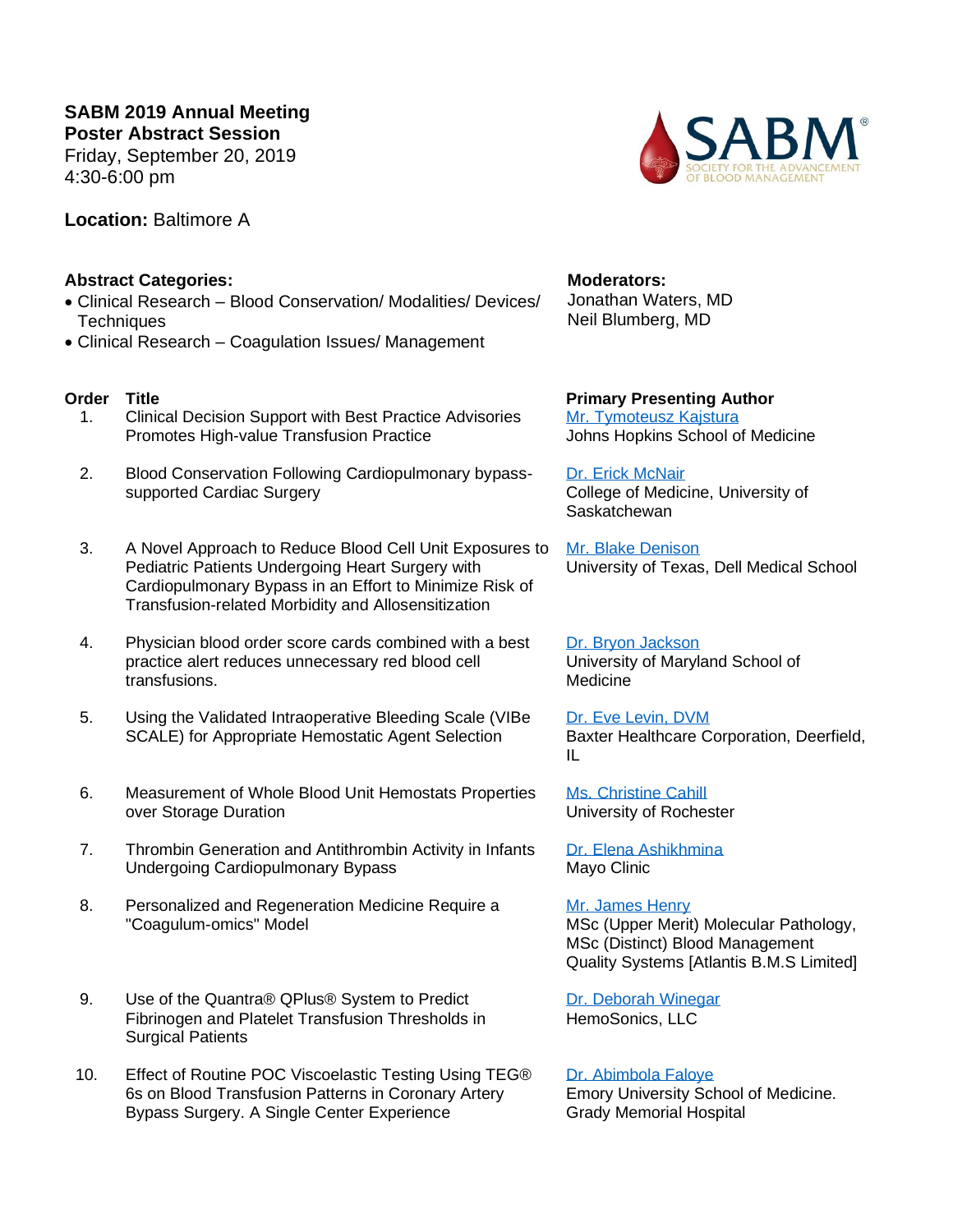**SABM 2019 Annual Meeting Poster Abstract Session** Friday, September 20, 2019 4:30-6:00 pm

**Location:** Baltimore A

## **Abstract Categories:**

- Clinical Research Blood Conservation/ Modalities/ Devices/ **Techniques**
- Clinical Research Coagulation Issues/ Management

- 1. Clinical Decision Support with Best Practice Advisories Promotes High-value Transfusion Practice
- 2. Blood Conservation Following Cardiopulmonary bypasssupported Cardiac Surgery
- 3. A Novel Approach to Reduce Blood Cell Unit Exposures to Pediatric Patients Undergoing Heart Surgery with Cardiopulmonary Bypass in an Effort to Minimize Risk of Transfusion-related Morbidity and Allosensitization
- 4. Physician blood order score cards combined with a best practice alert reduces unnecessary red blood cell transfusions.
- 5. Using the Validated Intraoperative Bleeding Scale (VIBe SCALE) for Appropriate Hemostatic Agent Selection
- 6. Measurement of Whole Blood Unit Hemostats Properties over Storage Duration
- 7. Thrombin Generation and Antithrombin Activity in Infants Undergoing Cardiopulmonary Bypass
- 8. Personalized and Regeneration Medicine Require a "Coagulum-omics" Model
- 9. Use of the Quantra® QPlus® System to Predict Fibrinogen and Platelet Transfusion Thresholds in Surgical Patients
- 10. Effect of Routine POC Viscoelastic Testing Using TEG® 6s on Blood Transfusion Patterns in Coronary Artery Bypass Surgery. A Single Center Experience

**Moderators:** Jonathan Waters, MD Neil Blumberg, MD

**Order Title Primary Presenting Author** [Mr. Tymoteusz Kajstura](#page-4-0) Johns Hopkins School of Medicine

> [Dr. Erick McNair](#page-4-1) College of Medicine, University of Saskatchewan

[Mr. Blake Denison](#page-4-2) University of Texas, Dell Medical School

[Dr. Bryon Jackson](#page-4-3) University of Maryland School of Medicine

[Dr. Eve Levin, DVM](#page-4-4) Baxter Healthcare Corporation, Deerfield, IL

[Ms. Christine Cahill](#page-4-5) University of Rochester

[Dr. Elena Ashikhmina](#page-4-6) Mayo Clinic

[Mr. James Henry](#page-5-0) MSc (Upper Merit) Molecular Pathology, MSc (Distinct) Blood Management Quality Systems [Atlantis B.M.S Limited]

[Dr. Deborah Winegar](#page-5-1) HemoSonics, LLC

[Dr. Abimbola Faloye](#page-5-2) Emory University School of Medicine. Grady Memorial Hospital

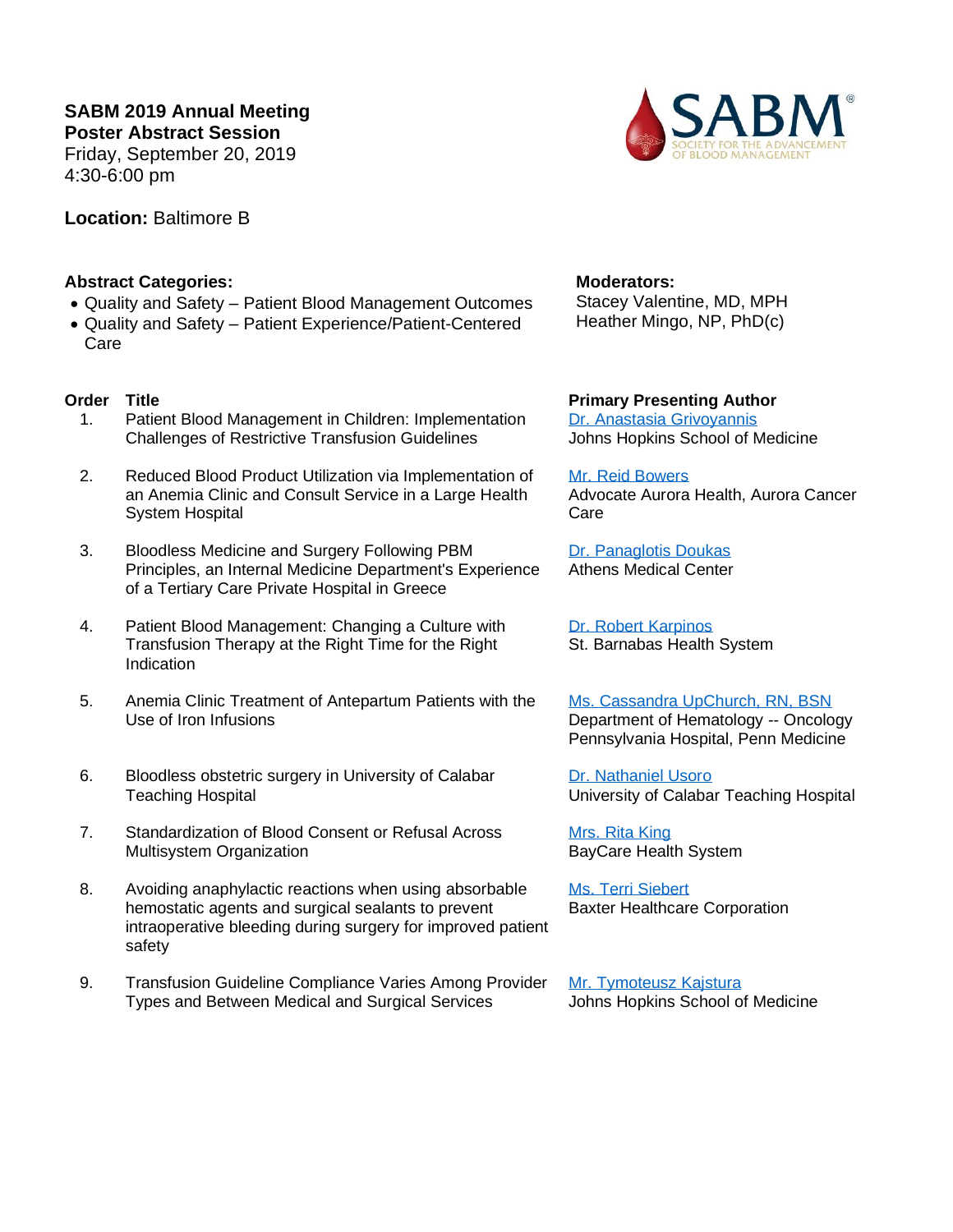**SABM 2019 Annual Meeting Poster Abstract Session** Friday, September 20, 2019 4:30-6:00 pm

**Location:** Baltimore B



# **Abstract Categories:**

- Quality and Safety Patient Blood Management Outcomes
- Quality and Safety Patient Experience/Patient-Centered Care

- 1. Patient Blood Management in Children: Implementation Challenges of Restrictive Transfusion Guidelines
- 2. Reduced Blood Product Utilization via Implementation of an Anemia Clinic and Consult Service in a Large Health System Hospital
- 3. Bloodless Medicine and Surgery Following PBM Principles, an Internal Medicine Department's Experience of a Tertiary Care Private Hospital in Greece
- 4. Patient Blood Management: Changing a Culture with Transfusion Therapy at the Right Time for the Right Indication
- 5. Anemia Clinic Treatment of Antepartum Patients with the Use of Iron Infusions
- 6. Bloodless obstetric surgery in University of Calabar Teaching Hospital
- 7. Standardization of Blood Consent or Refusal Across Multisystem Organization
- 8. Avoiding anaphylactic reactions when using absorbable hemostatic agents and surgical sealants to prevent intraoperative bleeding during surgery for improved patient safety
- 9. Transfusion Guideline Compliance Varies Among Provider Types and Between Medical and Surgical Services

# **Moderators:**

Stacey Valentine, MD, MPH Heather Mingo, NP, PhD(c)

# **Order Title Primary Presenting Author**

[Dr. Anastasia Grivoyannis](#page-5-3) Johns Hopkins School of Medicine

#### [Mr. Reid Bowers](#page-5-4)

Advocate Aurora Health, Aurora Cancer Care

[Dr. Panaglotis Doukas](#page-5-5) Athens Medical Center

[Dr. Robert Karpinos](#page-5-6) St. Barnabas Health System

[Ms. Cassandra UpChurch, RN, BSN](#page-5-7) Department of Hematology -- Oncology Pennsylvania Hospital, Penn Medicine

[Dr. Nathaniel Usoro](#page-5-8) University of Calabar Teaching Hospital

[Mrs. Rita King](#page-6-0) BayCare Health System

[Ms. Terri Siebert](#page-6-1) Baxter Healthcare Corporation

[Mr. Tymoteusz Kajstura](#page-4-0) Johns Hopkins School of Medicine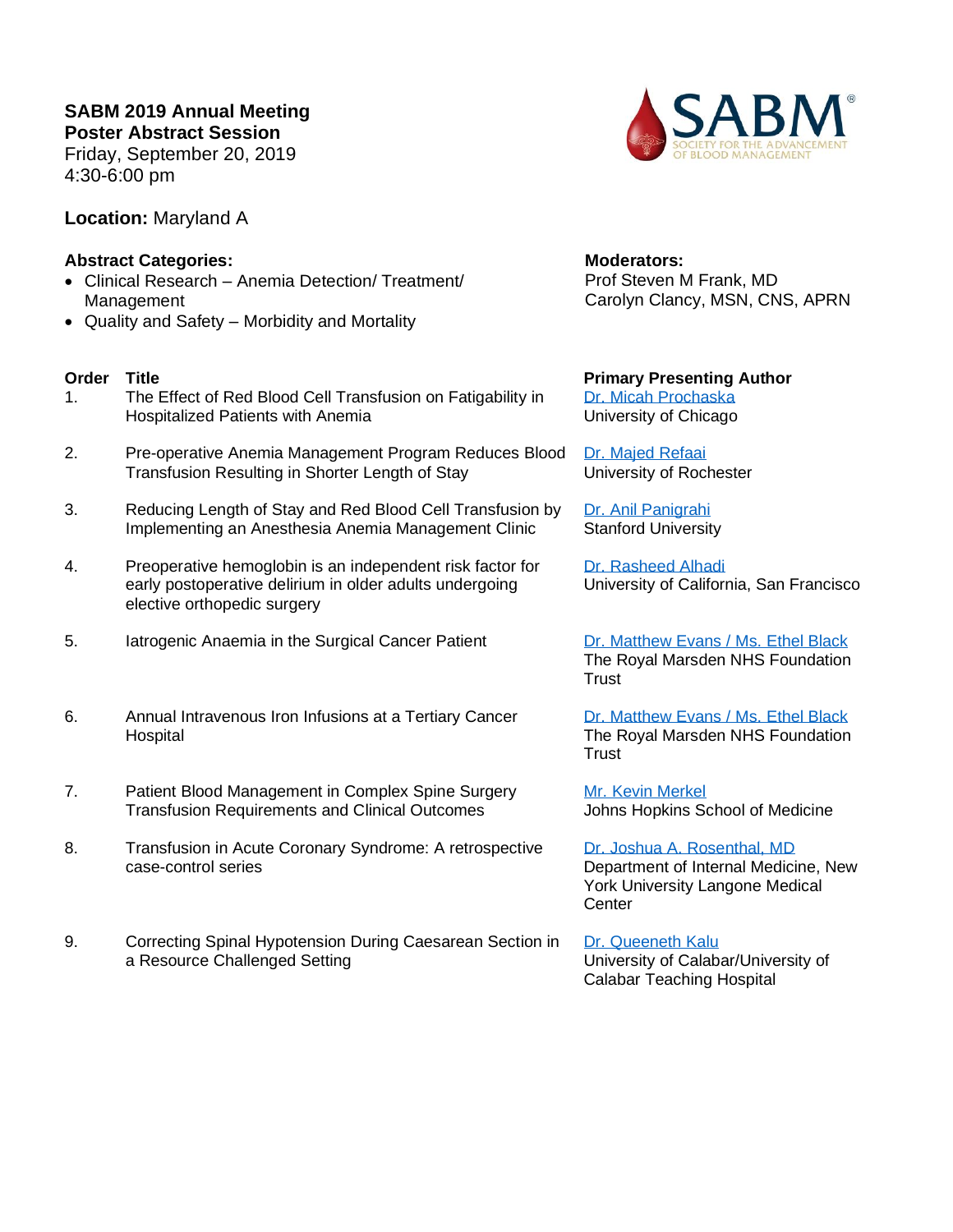**SABM 2019 Annual Meeting Poster Abstract Session**

Friday, September 20, 2019 4:30-6:00 pm

**Location:** Maryland A

# **Abstract Categories:**

- Clinical Research Anemia Detection/ Treatment/ Management
- Quality and Safety Morbidity and Mortality

- 1. The Effect of Red Blood Cell Transfusion on Fatigability in Hospitalized Patients with Anemia
- 2. Pre-operative Anemia Management Program Reduces Blood Transfusion Resulting in Shorter Length of Stay
- 3. Reducing Length of Stay and Red Blood Cell Transfusion by Implementing an Anesthesia Anemia Management Clinic
- 4. Preoperative hemoglobin is an independent risk factor for early postoperative delirium in older adults undergoing elective orthopedic surgery
- 5. Iatrogenic Anaemia in the Surgical Cancer Patient [Dr. Matthew Evans](#page-6-6) / Ms. Ethel Black
- 6. Annual Intravenous Iron Infusions at a Tertiary Cancer **Hospital**
- 7. Patient Blood Management in Complex Spine Surgery Transfusion Requirements and Clinical Outcomes
- 8. Transfusion in Acute Coronary Syndrome: A retrospective case-control series
- 9. Correcting Spinal Hypotension During Caesarean Section in a Resource Challenged Setting



**Moderators:** Prof Steven M Frank, MD Carolyn Clancy, MSN, CNS, APRN

**Order Title Primary Presenting Author** [Dr. Micah Prochaska](#page-6-2) University of Chicago

> [Dr. Majed Refaai](#page-6-3) University of Rochester

[Dr. Anil Panigrahi](#page-6-4) Stanford University

[Dr. Rasheed Alhadi](#page-6-5) University of California, San Francisco

The Royal Marsden NHS Foundation **Trust** 

[Dr. Matthew Evans](#page-6-6) / Ms. Ethel Black The Royal Marsden NHS Foundation **Trust** 

[Mr. Kevin Merkel](#page-7-0) Johns Hopkins School of Medicine

[Dr. Joshua A. Rosenthal, MD](#page-7-1) Department of Internal Medicine, New York University Langone Medical **Center** 

[Dr. Queeneth Kalu](#page-7-2) University of Calabar/University of Calabar Teaching Hospital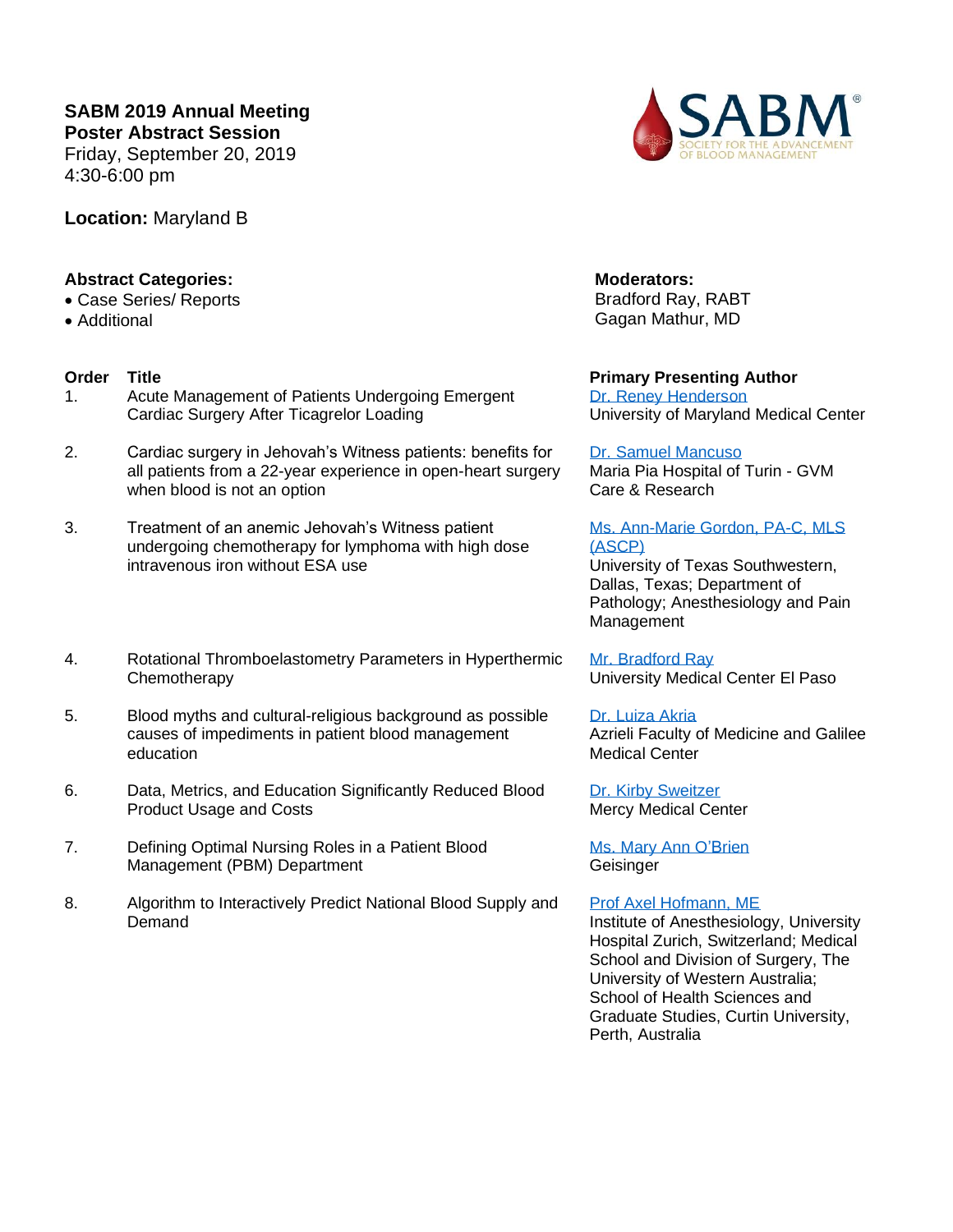**SABM 2019 Annual Meeting Poster Abstract Session** Friday, September 20, 2019

4:30-6:00 pm

**Location:** Maryland B

# **Abstract Categories:**

- Case Series/ Reports
- Additional

- 1. Acute Management of Patients Undergoing Emergent Cardiac Surgery After Ticagrelor Loading
- 2. Cardiac surgery in Jehovah's Witness patients: benefits for all patients from a 22-year experience in open-heart surgery when blood is not an option
- 3. Treatment of an anemic Jehovah's Witness patient undergoing chemotherapy for lymphoma with high dose intravenous iron without ESA use
- 4. Rotational Thromboelastometry Parameters in Hyperthermic **Chemotherapy**
- 5. Blood myths and cultural-religious background as possible causes of impediments in patient blood management education
- 6. Data, Metrics, and Education Significantly Reduced Blood Product Usage and Costs
- 7. Defining Optimal Nursing Roles in a Patient Blood Management (PBM) Department
- 8. Algorithm to Interactively Predict National Blood Supply and **Demand**



**Moderators:** Bradford Ray, RABT Gagan Mathur, MD

**Order Title Primary Presenting Author** [Dr. Reney Henderson](#page-7-3) University of Maryland Medical Center

### [Dr. Samuel Mancuso](#page-7-4)

Maria Pia Hospital of Turin - GVM Care & Research

## Ms. Ann-Marie [Gordon, PA-C, MLS](#page-7-5)  [\(ASCP\)](#page-7-5)

University of Texas Southwestern, Dallas, Texas; Department of Pathology; Anesthesiology and Pain Management

[Mr. Bradford Ray](#page-7-6) University Medical Center El Paso

# [Dr. Luiza Akria](#page-7-7)

Azrieli Faculty of Medicine and Galilee Medical Center

[Dr. Kirby Sweitzer](#page-8-0) Mercy Medical Center

[Ms. Mary Ann O'Brien](#page-8-1) **Geisinger** 

## [Prof Axel Hofmann, ME](#page-8-2)

Institute of Anesthesiology, University Hospital Zurich, Switzerland; Medical School and Division of Surgery, The University of Western Australia; School of Health Sciences and Graduate Studies, Curtin University, Perth, Australia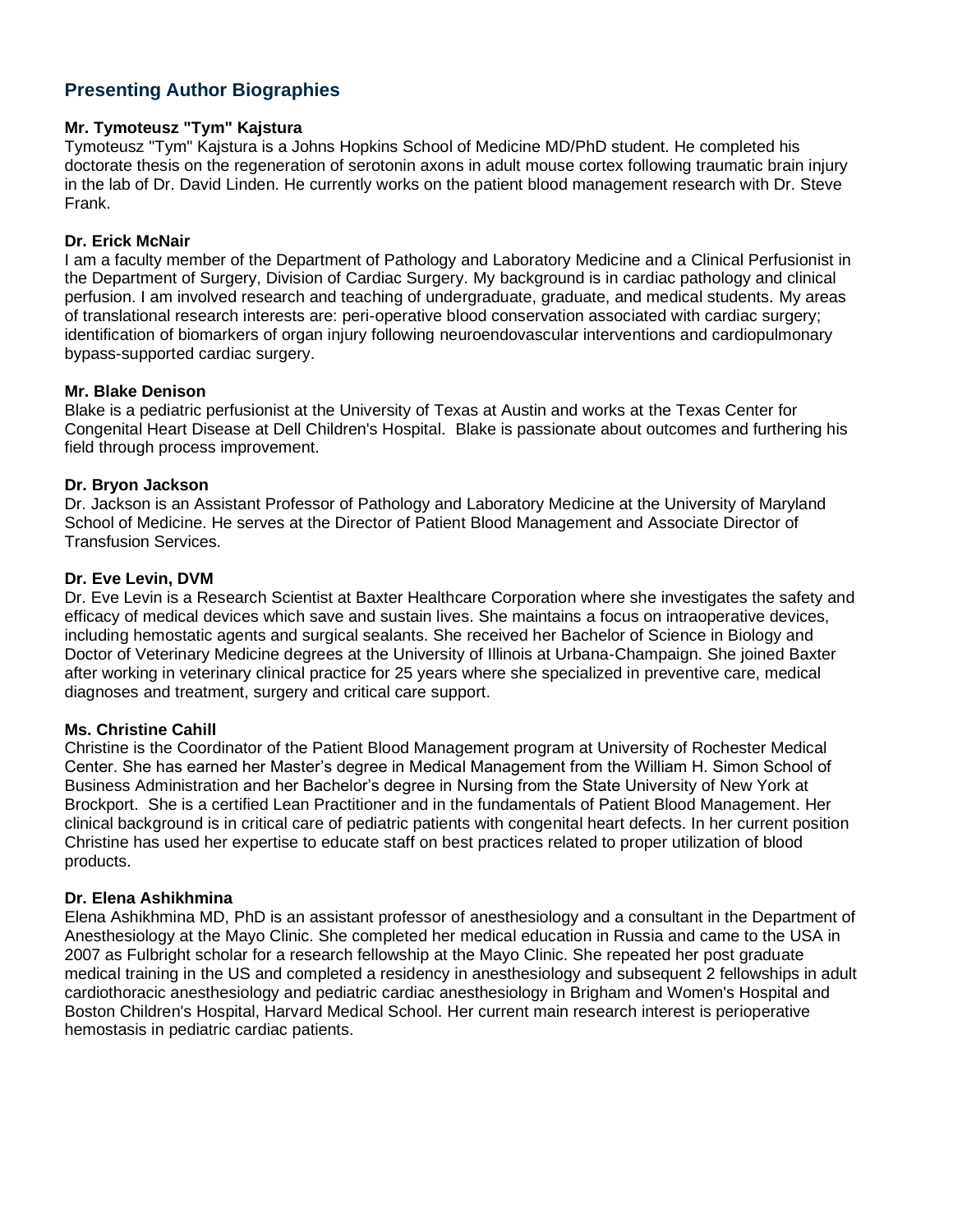# **Presenting Author Biographies**

## <span id="page-4-0"></span>**Mr. Tymoteusz "Tym" Kajstura**

Tymoteusz "Tym" Kajstura is a Johns Hopkins School of Medicine MD/PhD student. He completed his doctorate thesis on the regeneration of serotonin axons in adult mouse cortex following traumatic brain injury in the lab of Dr. David Linden. He currently works on the patient blood management research with Dr. Steve Frank.

## <span id="page-4-1"></span>**Dr. Erick McNair**

I am a faculty member of the Department of Pathology and Laboratory Medicine and a Clinical Perfusionist in the Department of Surgery, Division of Cardiac Surgery. My background is in cardiac pathology and clinical perfusion. I am involved research and teaching of undergraduate, graduate, and medical students. My areas of translational research interests are: peri-operative blood conservation associated with cardiac surgery; identification of biomarkers of organ injury following neuroendovascular interventions and cardiopulmonary bypass-supported cardiac surgery.

### <span id="page-4-2"></span>**Mr. Blake Denison**

Blake is a pediatric perfusionist at the University of Texas at Austin and works at the Texas Center for Congenital Heart Disease at Dell Children's Hospital. Blake is passionate about outcomes and furthering his field through process improvement.

## <span id="page-4-3"></span>**Dr. Bryon Jackson**

Dr. Jackson is an Assistant Professor of Pathology and Laboratory Medicine at the University of Maryland School of Medicine. He serves at the Director of Patient Blood Management and Associate Director of Transfusion Services.

## <span id="page-4-4"></span>**Dr. Eve Levin, DVM**

Dr. Eve Levin is a Research Scientist at Baxter Healthcare Corporation where she investigates the safety and efficacy of medical devices which save and sustain lives. She maintains a focus on intraoperative devices, including hemostatic agents and surgical sealants. She received her Bachelor of Science in Biology and Doctor of Veterinary Medicine degrees at the University of Illinois at Urbana-Champaign. She joined Baxter after working in veterinary clinical practice for 25 years where she specialized in preventive care, medical diagnoses and treatment, surgery and critical care support.

## <span id="page-4-5"></span>**Ms. Christine Cahill**

Christine is the Coordinator of the Patient Blood Management program at University of Rochester Medical Center. She has earned her Master's degree in Medical Management from the William H. Simon School of Business Administration and her Bachelor's degree in Nursing from the State University of New York at Brockport. She is a certified Lean Practitioner and in the fundamentals of Patient Blood Management. Her clinical background is in critical care of pediatric patients with congenital heart defects. In her current position Christine has used her expertise to educate staff on best practices related to proper utilization of blood products.

## <span id="page-4-6"></span>**Dr. Elena Ashikhmina**

Elena Ashikhmina MD, PhD is an assistant professor of anesthesiology and a consultant in the Department of Anesthesiology at the Mayo Clinic. She completed her medical education in Russia and came to the USA in 2007 as Fulbright scholar for a research fellowship at the Mayo Clinic. She repeated her post graduate medical training in the US and completed a residency in anesthesiology and subsequent 2 fellowships in adult cardiothoracic anesthesiology and pediatric cardiac anesthesiology in Brigham and Women's Hospital and Boston Children's Hospital, Harvard Medical School. Her current main research interest is perioperative hemostasis in pediatric cardiac patients.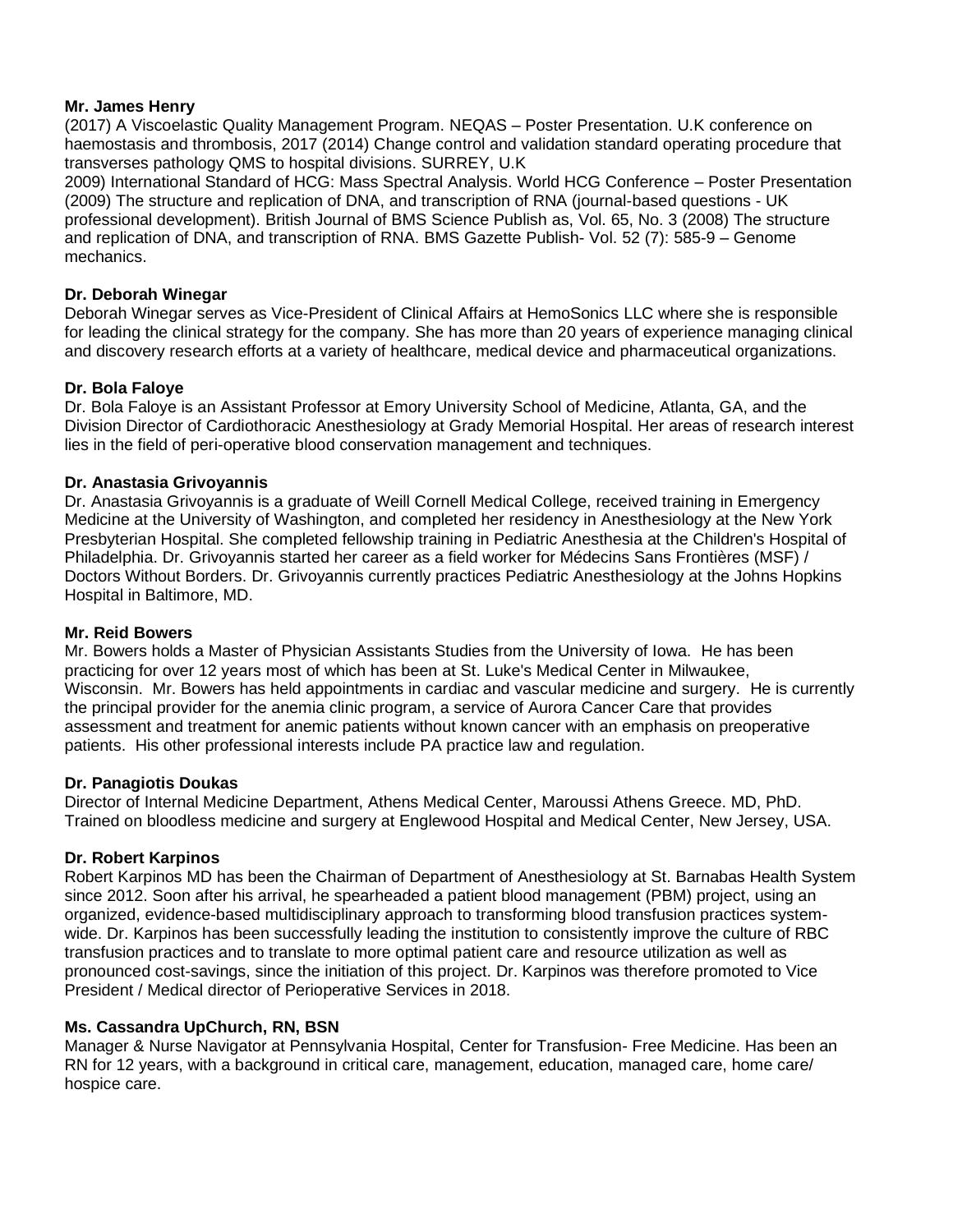## <span id="page-5-0"></span>**Mr. James Henry**

(2017) A Viscoelastic Quality Management Program. NEQAS – Poster Presentation. U.K conference on haemostasis and thrombosis, 2017 (2014) Change control and validation standard operating procedure that transverses pathology QMS to hospital divisions. SURREY, U.K

2009) International Standard of HCG: Mass Spectral Analysis. World HCG Conference – Poster Presentation (2009) The structure and replication of DNA, and transcription of RNA (journal-based questions - UK professional development). British Journal of BMS Science Publish as, Vol. 65, No. 3 (2008) The structure and replication of DNA, and transcription of RNA. BMS Gazette Publish- Vol. 52 (7): 585-9 – Genome mechanics.

### <span id="page-5-1"></span>**Dr. Deborah Winegar**

Deborah Winegar serves as Vice-President of Clinical Affairs at HemoSonics LLC where she is responsible for leading the clinical strategy for the company. She has more than 20 years of experience managing clinical and discovery research efforts at a variety of healthcare, medical device and pharmaceutical organizations.

## <span id="page-5-2"></span>**Dr. Bola Faloye**

Dr. Bola Faloye is an Assistant Professor at Emory University School of Medicine, Atlanta, GA, and the Division Director of Cardiothoracic Anesthesiology at Grady Memorial Hospital. Her areas of research interest lies in the field of peri-operative blood conservation management and techniques.

### <span id="page-5-3"></span>**Dr. Anastasia Grivoyannis**

Dr. Anastasia Grivoyannis is a graduate of Weill Cornell Medical College, received training in Emergency Medicine at the University of Washington, and completed her residency in Anesthesiology at the New York Presbyterian Hospital. She completed fellowship training in Pediatric Anesthesia at the Children's Hospital of Philadelphia. Dr. Grivoyannis started her career as a field worker for Médecins Sans Frontières (MSF) / Doctors Without Borders. Dr. Grivoyannis currently practices Pediatric Anesthesiology at the Johns Hopkins Hospital in Baltimore, MD.

#### <span id="page-5-4"></span>**Mr. Reid Bowers**

Mr. Bowers holds a Master of Physician Assistants Studies from the University of Iowa. He has been practicing for over 12 years most of which has been at St. Luke's Medical Center in Milwaukee, Wisconsin. Mr. Bowers has held appointments in cardiac and vascular medicine and surgery. He is currently the principal provider for the anemia clinic program, a service of Aurora Cancer Care that provides assessment and treatment for anemic patients without known cancer with an emphasis on preoperative patients. His other professional interests include PA practice law and regulation.

#### <span id="page-5-5"></span>**Dr. Panagiotis Doukas**

Director of Internal Medicine Department, Athens Medical Center, Maroussi Athens Greece. MD, PhD. Trained on bloodless medicine and surgery at Englewood Hospital and Medical Center, New Jersey, USA.

## <span id="page-5-6"></span>**Dr. Robert Karpinos**

Robert Karpinos MD has been the Chairman of Department of Anesthesiology at St. Barnabas Health System since 2012. Soon after his arrival, he spearheaded a patient blood management (PBM) project, using an organized, evidence-based multidisciplinary approach to transforming blood transfusion practices systemwide. Dr. Karpinos has been successfully leading the institution to consistently improve the culture of RBC transfusion practices and to translate to more optimal patient care and resource utilization as well as pronounced cost-savings, since the initiation of this project. Dr. Karpinos was therefore promoted to Vice President / Medical director of Perioperative Services in 2018.

## <span id="page-5-7"></span>**Ms. Cassandra UpChurch, RN, BSN**

<span id="page-5-8"></span>Manager & Nurse Navigator at Pennsylvania Hospital, Center for Transfusion- Free Medicine. Has been an RN for 12 years, with a background in critical care, management, education, managed care, home care/ hospice care.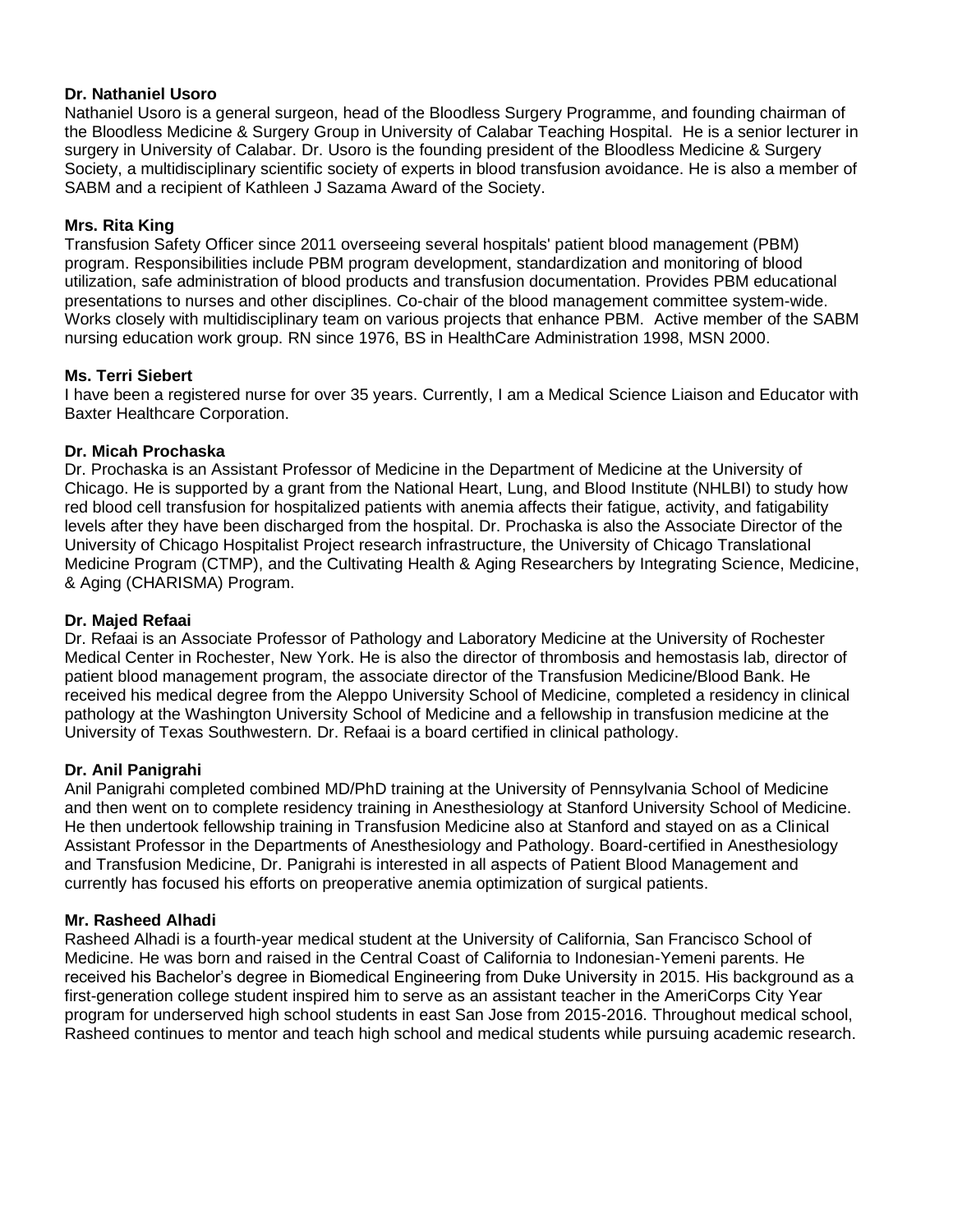## **Dr. Nathaniel Usoro**

Nathaniel Usoro is a general surgeon, head of the Bloodless Surgery Programme, and founding chairman of the Bloodless Medicine & Surgery Group in University of Calabar Teaching Hospital. He is a senior lecturer in surgery in University of Calabar. Dr. Usoro is the founding president of the Bloodless Medicine & Surgery Society, a multidisciplinary scientific society of experts in blood transfusion avoidance. He is also a member of SABM and a recipient of Kathleen J Sazama Award of the Society.

## <span id="page-6-0"></span>**Mrs. Rita King**

Transfusion Safety Officer since 2011 overseeing several hospitals' patient blood management (PBM) program. Responsibilities include PBM program development, standardization and monitoring of blood utilization, safe administration of blood products and transfusion documentation. Provides PBM educational presentations to nurses and other disciplines. Co-chair of the blood management committee system-wide. Works closely with multidisciplinary team on various projects that enhance PBM. Active member of the SABM nursing education work group. RN since 1976, BS in HealthCare Administration 1998, MSN 2000.

## <span id="page-6-1"></span>**Ms. Terri Siebert**

I have been a registered nurse for over 35 years. Currently, I am a Medical Science Liaison and Educator with Baxter Healthcare Corporation.

## <span id="page-6-2"></span>**Dr. Micah Prochaska**

Dr. Prochaska is an Assistant Professor of Medicine in the Department of Medicine at the University of Chicago. He is supported by a grant from the National Heart, Lung, and Blood Institute (NHLBI) to study how red blood cell transfusion for hospitalized patients with anemia affects their fatigue, activity, and fatigability levels after they have been discharged from the hospital. Dr. Prochaska is also the Associate Director of the University of Chicago Hospitalist Project research infrastructure, the University of Chicago Translational Medicine Program (CTMP), and the Cultivating Health & Aging Researchers by Integrating Science, Medicine, & Aging (CHARISMA) Program.

## <span id="page-6-3"></span>**Dr. Majed Refaai**

Dr. Refaai is an Associate Professor of Pathology and Laboratory Medicine at the University of Rochester Medical Center in Rochester, New York. He is also the director of thrombosis and hemostasis lab, director of patient blood management program, the associate director of the Transfusion Medicine/Blood Bank. He received his medical degree from the Aleppo University School of Medicine, completed a residency in clinical pathology at the Washington University School of Medicine and a fellowship in transfusion medicine at the University of Texas Southwestern. Dr. Refaai is a board certified in clinical pathology.

## <span id="page-6-4"></span>**Dr. Anil Panigrahi**

Anil Panigrahi completed combined MD/PhD training at the University of Pennsylvania School of Medicine and then went on to complete residency training in Anesthesiology at Stanford University School of Medicine. He then undertook fellowship training in Transfusion Medicine also at Stanford and stayed on as a Clinical Assistant Professor in the Departments of Anesthesiology and Pathology. Board-certified in Anesthesiology and Transfusion Medicine, Dr. Panigrahi is interested in all aspects of Patient Blood Management and currently has focused his efforts on preoperative anemia optimization of surgical patients.

## <span id="page-6-5"></span>**Mr. Rasheed Alhadi**

<span id="page-6-6"></span>Rasheed Alhadi is a fourth-year medical student at the University of California, San Francisco School of Medicine. He was born and raised in the Central Coast of California to Indonesian-Yemeni parents. He received his Bachelor's degree in Biomedical Engineering from Duke University in 2015. His background as a first-generation college student inspired him to serve as an assistant teacher in the AmeriCorps City Year program for underserved high school students in east San Jose from 2015-2016. Throughout medical school, Rasheed continues to mentor and teach high school and medical students while pursuing academic research.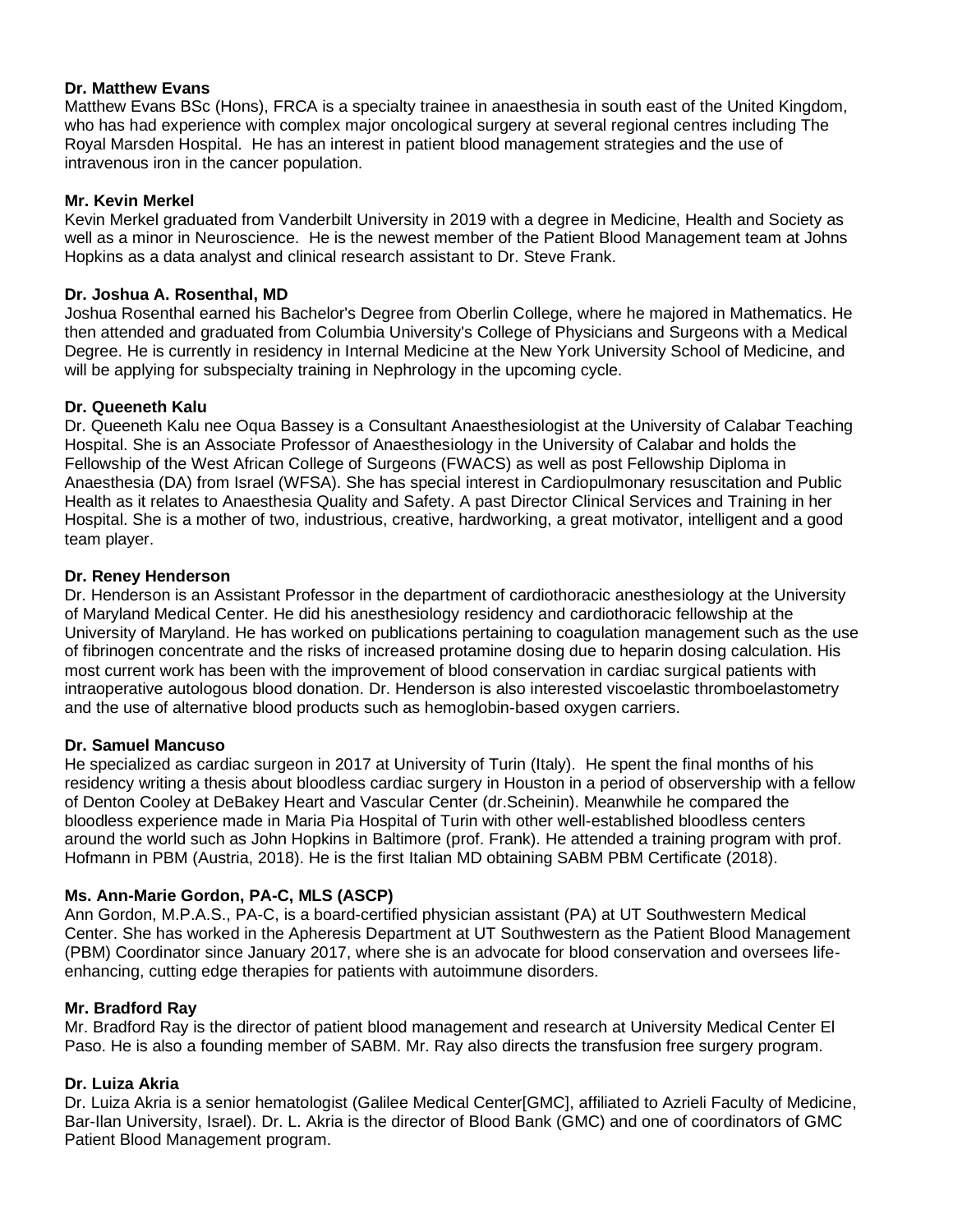## **Dr. Matthew Evans**

Matthew Evans BSc (Hons), FRCA is a specialty trainee in anaesthesia in south east of the United Kingdom, who has had experience with complex major oncological surgery at several regional centres including The Royal Marsden Hospital. He has an interest in patient blood management strategies and the use of intravenous iron in the cancer population.

## <span id="page-7-0"></span>**Mr. Kevin Merkel**

Kevin Merkel graduated from Vanderbilt University in 2019 with a degree in Medicine, Health and Society as well as a minor in Neuroscience. He is the newest member of the Patient Blood Management team at Johns Hopkins as a data analyst and clinical research assistant to Dr. Steve Frank.

## <span id="page-7-1"></span>**Dr. Joshua A. Rosenthal, MD**

Joshua Rosenthal earned his Bachelor's Degree from Oberlin College, where he majored in Mathematics. He then attended and graduated from Columbia University's College of Physicians and Surgeons with a Medical Degree. He is currently in residency in Internal Medicine at the New York University School of Medicine, and will be applying for subspecialty training in Nephrology in the upcoming cycle.

## <span id="page-7-2"></span>**Dr. Queeneth Kalu**

Dr. Queeneth Kalu nee Oqua Bassey is a Consultant Anaesthesiologist at the University of Calabar Teaching Hospital. She is an Associate Professor of Anaesthesiology in the University of Calabar and holds the Fellowship of the West African College of Surgeons (FWACS) as well as post Fellowship Diploma in Anaesthesia (DA) from Israel (WFSA). She has special interest in Cardiopulmonary resuscitation and Public Health as it relates to Anaesthesia Quality and Safety. A past Director Clinical Services and Training in her Hospital. She is a mother of two, industrious, creative, hardworking, a great motivator, intelligent and a good team player.

## <span id="page-7-3"></span>**Dr. Reney Henderson**

Dr. Henderson is an Assistant Professor in the department of cardiothoracic anesthesiology at the University of Maryland Medical Center. He did his anesthesiology residency and cardiothoracic fellowship at the University of Maryland. He has worked on publications pertaining to coagulation management such as the use of fibrinogen concentrate and the risks of increased protamine dosing due to heparin dosing calculation. His most current work has been with the improvement of blood conservation in cardiac surgical patients with intraoperative autologous blood donation. Dr. Henderson is also interested viscoelastic thromboelastometry and the use of alternative blood products such as hemoglobin-based oxygen carriers.

## <span id="page-7-4"></span>**Dr. Samuel Mancuso**

He specialized as cardiac surgeon in 2017 at University of Turin (Italy). He spent the final months of his residency writing a thesis about bloodless cardiac surgery in Houston in a period of observership with a fellow of Denton Cooley at DeBakey Heart and Vascular Center (dr.Scheinin). Meanwhile he compared the bloodless experience made in Maria Pia Hospital of Turin with other well-established bloodless centers around the world such as John Hopkins in Baltimore (prof. Frank). He attended a training program with prof. Hofmann in PBM (Austria, 2018). He is the first Italian MD obtaining SABM PBM Certificate (2018).

# <span id="page-7-5"></span>**Ms. Ann-Marie Gordon, PA-C, MLS (ASCP)**

Ann Gordon, M.P.A.S., PA-C, is a board-certified physician assistant (PA) at UT Southwestern Medical Center. She has worked in the Apheresis Department at UT Southwestern as the Patient Blood Management (PBM) Coordinator since January 2017, where she is an advocate for blood conservation and oversees lifeenhancing, cutting edge therapies for patients with autoimmune disorders.

## <span id="page-7-6"></span>**Mr. Bradford Ray**

Mr. Bradford Ray is the director of patient blood management and research at University Medical Center El Paso. He is also a founding member of SABM. Mr. Ray also directs the transfusion free surgery program.

## <span id="page-7-7"></span>**Dr. Luiza Akria**

Dr. Luiza Akria is a senior hematologist (Galilee Medical Center[GMC], affiliated to Azrieli Faculty of Medicine, Bar-Ilan University, Israel). Dr. L. Akria is the director of Blood Bank (GMC) and one of coordinators of GMC Patient Blood Management program.